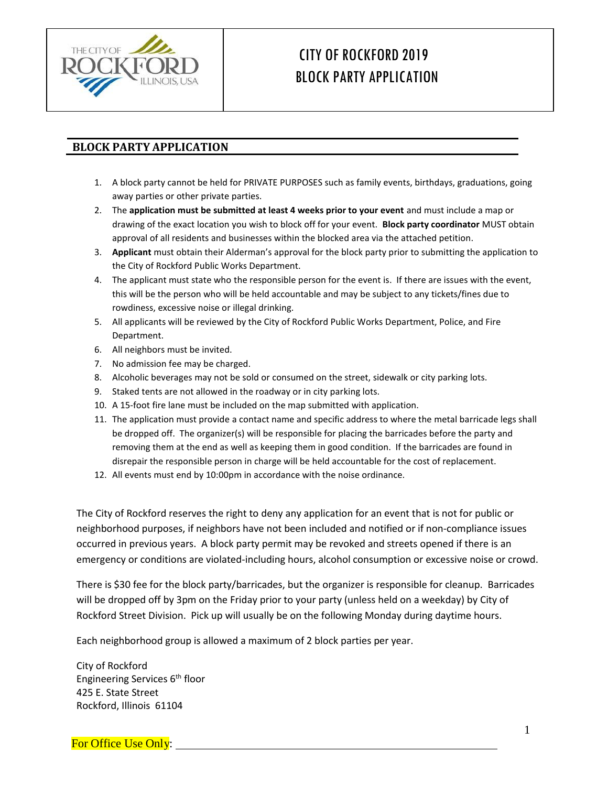

# CITY OFROCKFORD 2019 BLOCK PARTY APPLICATION

#### **BLOCK PARTY APPLICATION**

- 1. A block party cannot be held for PRIVATE PURPOSES such as family events, birthdays, graduations, going away parties or other private parties.
- 2. The **application must be submitted at least 4 weeks prior to your event** and must include a map or drawing of the exact location you wish to block off for your event. **Block party coordinator** MUST obtain approval of all residents and businesses within the blocked area via the attached petition.
- 3. **Applicant** must obtain their Alderman's approval for the block party prior to submitting the application to the City of Rockford Public Works Department.
- 4. The applicant must state who the responsible person for the event is. If there are issues with the event, this will be the person who will be held accountable and may be subject to any tickets/fines due to rowdiness, excessive noise or illegal drinking.
- 5. All applicants will be reviewed by the City of Rockford Public Works Department, Police, and Fire Department.
- 6. All neighbors must be invited.
- 7. No admission fee may be charged.
- 8. Alcoholic beverages may not be sold or consumed on the street, sidewalk or city parking lots.
- 9. Staked tents are not allowed in the roadway or in city parking lots.
- 10. A 15-foot fire lane must be included on the map submitted with application.
- 11. The application must provide a contact name and specific address to where the metal barricade legs shall be dropped off. The organizer(s) will be responsible for placing the barricades before the party and removing them at the end as well as keeping them in good condition. If the barricades are found in disrepair the responsible person in charge will be held accountable for the cost of replacement.
- 12. All events must end by 10:00pm in accordance with the noise ordinance.

The City of Rockford reserves the right to deny any application for an event that is not for public or neighborhood purposes, if neighbors have not been included and notified or if non-compliance issues occurred in previous years. A block party permit may be revoked and streets opened if there is an emergency or conditions are violated-including hours, alcohol consumption or excessive noise or crowd.

There is \$30 fee for the block party/barricades, but the organizer is responsible for cleanup. Barricades will be dropped off by 3pm on the Friday prior to your party (unless held on a weekday) by City of Rockford Street Division. Pick up will usually be on the following Monday during daytime hours.

Each neighborhood group is allowed a maximum of 2 block parties per year.

City of Rockford Engineering Services 6th floor 425 E. State Street Rockford, Illinois 61104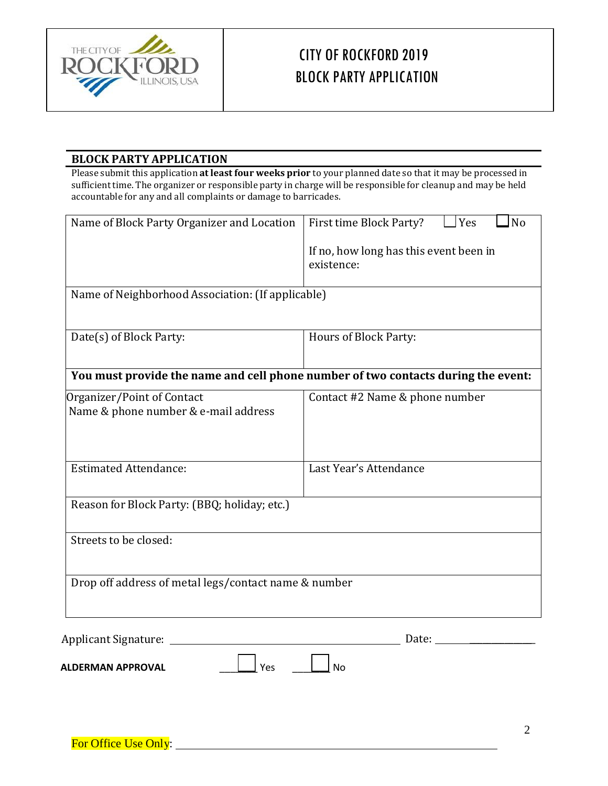

# CITY OFROCKFORD 2019 BLOCK PARTY APPLICATION

#### **BLOCK PARTY APPLICATION**

Please submit this application **at least four weeks prior** to your planned date so that it may be processed in sufficienttime. The organizer or responsible party in charge will be responsible for cleanup and may be held accountable for any and all complaints or damage to barricades.

| Name of Block Party Organizer and Location           | Yes<br>First time Block Party?<br>No                                              |
|------------------------------------------------------|-----------------------------------------------------------------------------------|
|                                                      | If no, how long has this event been in                                            |
|                                                      | existence:                                                                        |
| Name of Neighborhood Association: (If applicable)    |                                                                                   |
|                                                      |                                                                                   |
| Date(s) of Block Party:                              | Hours of Block Party:                                                             |
|                                                      |                                                                                   |
|                                                      | You must provide the name and cell phone number of two contacts during the event: |
| Organizer/Point of Contact                           | Contact #2 Name & phone number                                                    |
| Name & phone number & e-mail address                 |                                                                                   |
|                                                      |                                                                                   |
| <b>Estimated Attendance:</b>                         | Last Year's Attendance                                                            |
|                                                      |                                                                                   |
| Reason for Block Party: (BBQ; holiday; etc.)         |                                                                                   |
| Streets to be closed:                                |                                                                                   |
|                                                      |                                                                                   |
|                                                      |                                                                                   |
| Drop off address of metal legs/contact name & number |                                                                                   |
|                                                      |                                                                                   |
| <b>Applicant Signature:</b>                          | Date:                                                                             |

**ALDERMAN APPROVAL ALDERMAN APPROVAL**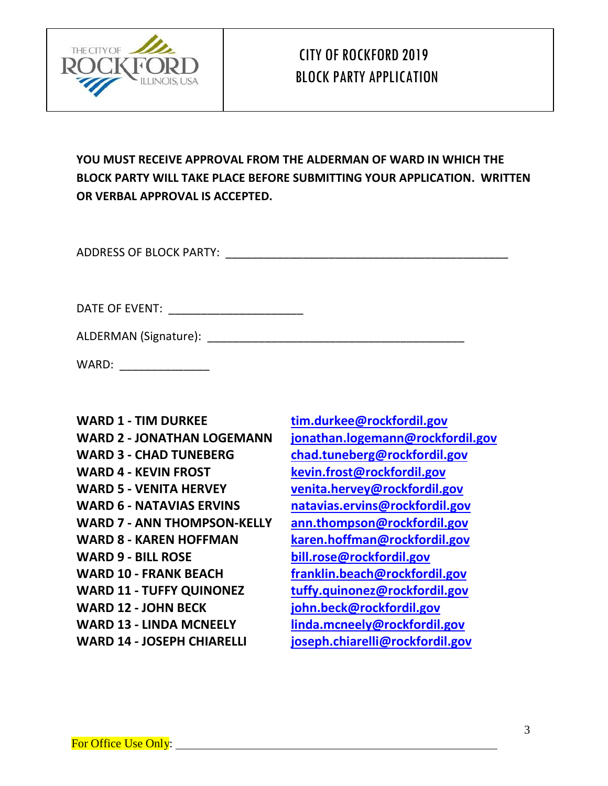

## CITY OFROCKFORD 2019 BLOCK PARTY APPLICATION

**YOU MUST RECEIVE APPROVAL FROM THE ALDERMAN OF WARD IN WHICH THE BLOCK PARTY WILL TAKE PLACE BEFORE SUBMITTING YOUR APPLICATION. WRITTEN OR VERBAL APPROVAL IS ACCEPTED.**

ADDRESS OF BLOCK PARTY: \_\_\_\_\_\_\_\_\_\_\_\_\_\_\_\_\_\_\_\_\_\_\_\_\_\_\_\_\_\_\_\_\_\_\_\_\_\_\_\_\_\_\_\_

| DATE OF EVENT: |  |
|----------------|--|
|----------------|--|

ALDERMAN (Signature): \_\_\_\_\_\_\_\_\_\_\_\_\_\_\_\_\_\_\_\_\_\_\_\_\_\_\_\_\_\_\_\_\_\_\_\_\_\_\_\_

WARD:

**WARD 1 - TIM DURKEE [tim.durkee@rockfordil.gov](mailto:tim.durkee@rockfordil.gov) WARD 2 - JONATHAN LOGEMANN [jonathan.logemann@rockfordil.gov](mailto:jonathan.logemann@rockfordil.gov) WARD 3 - CHAD TUNEBERG [chad.tuneberg@rockfordil.gov](mailto:chad.tuneberg@rockfordil.gov) WARD 4 - KEVIN FROST [kevin.frost@rockfordil.gov](mailto:kevin.frost@rockfordil.gov) WARD 5 - VENITA HERVEY [venita.hervey@rockfordil.gov](mailto:venita.hervey@rockfordil.gov) WARD 6 - NATAVIAS ERVINS [natavias.ervins@rockfordil.gov](mailto:natavias.ervins@rockfordil.gov) WARD 7 - ANN THOMPSON-KELLY [ann.thompson@rockfordil.gov](mailto:ann.thompson@rockfordil.gov) WARD 8 - KAREN HOFFMAN [karen.hoffman@rockfordil.gov](mailto:karen.hoffman@rockfordil.gov) WARD 9 - BILL ROSE [bill.rose@rockfordil.gov](mailto:bill.rose@rockfordil.gov) WARD 10 - FRANK BEACH [franklin.beach@rockfordil.gov](mailto:franklin.beach@rockfordil.gov) WARD 11 - TUFFY QUINONEZ [tuffy.quinonez@rockfordil.gov](mailto:tuffy.quinonez@rockfordil.gov) WARD 12 - JOHN BECK [john.beck@rockfordil.gov](mailto:john.beck@rockfordil.gov) WARD 13 - LINDA MCNEELY [linda.mcneely@rockfordil.gov](mailto:linda.mcneely@rockfordil.gov) WARD 14 - JOSEPH CHIARELLI [joseph.chiarelli@rockfordil.gov](mailto:joseph.chiarelli@rockfordil.gov)**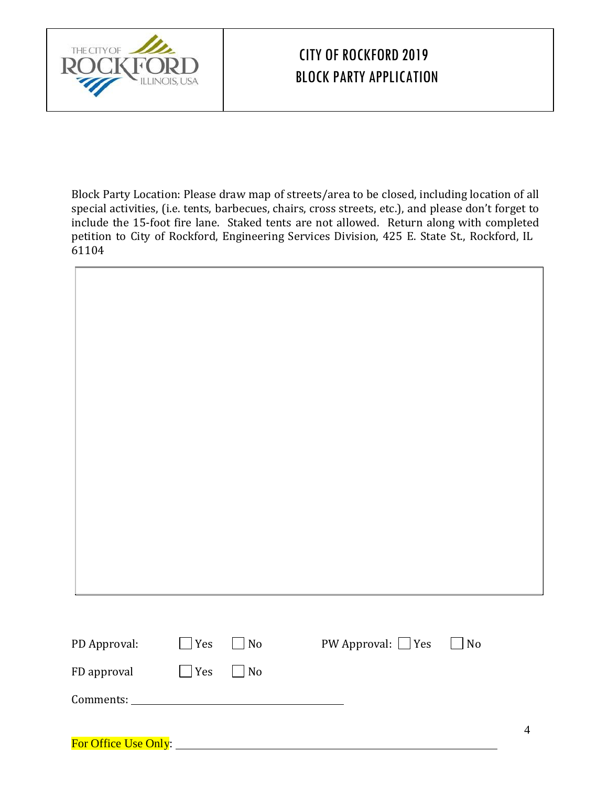

For Office Use Only:

# CITY OF ROCKFORD 2019 BLOCK PARTY APPLICATION

Block Party Location: Please draw map of streets/area to be closed, including location of all special activities, (i.e. tents, barbecues, chairs, cross streets, etc.), and please don't forget to include the 15-foot fire lane. Staked tents are not allowed. Return along with completed petition to City of Rockford, Engineering Services Division, 425 E. State St., Rockford, IL 61104

| PD Approval: | $\Box$ Yes | $\Box$ No | PW Approval: $\Box$ Yes<br>$\Box$ No |                |
|--------------|------------|-----------|--------------------------------------|----------------|
| FD approval  | $\Box$ Yes | $\Box$ No |                                      |                |
|              |            |           |                                      |                |
|              |            |           |                                      | $\overline{4}$ |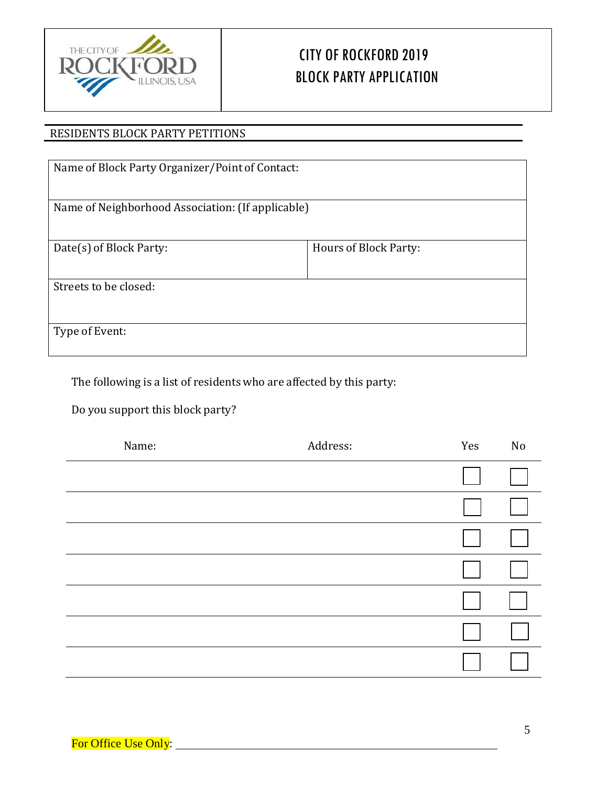

# CITY OF ROCKFORD 2019 BLOCK PARTY APPLICATION

### RESIDENTS BLOCK PARTY PETITIONS

| Name of Block Party Organizer/Point of Contact:   |                       |
|---------------------------------------------------|-----------------------|
| Name of Neighborhood Association: (If applicable) |                       |
| Date(s) of Block Party:                           | Hours of Block Party: |
| Streets to be closed:                             |                       |
| Type of Event:                                    |                       |

The following is a list of residents who are affected by this party:

Do you support this block party?

| Name: | Address: | Yes | No |
|-------|----------|-----|----|
|       |          |     |    |
|       |          |     |    |
|       |          |     |    |
|       |          |     |    |
|       |          |     |    |
|       |          |     |    |
|       |          |     |    |